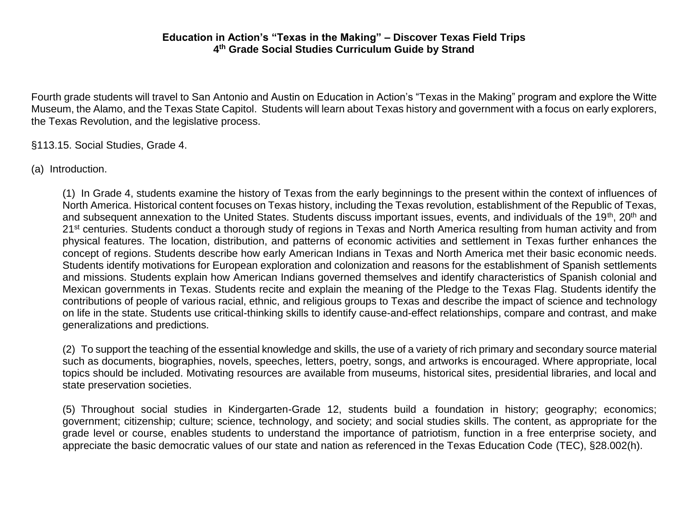Fourth grade students will travel to San Antonio and Austin on Education in Action's "Texas in the Making" program and explore the Witte Museum, the Alamo, and the Texas State Capitol. Students will learn about Texas history and government with a focus on early explorers, the Texas Revolution, and the legislative process.

§113.15. Social Studies, Grade 4.

(a) Introduction.

(1) In Grade 4, students examine the history of Texas from the early beginnings to the present within the context of influences of North America. Historical content focuses on Texas history, including the Texas revolution, establishment of the Republic of Texas, and subsequent annexation to the United States. Students discuss important issues, events, and individuals of the 19<sup>th</sup>, 20<sup>th</sup> and 21<sup>st</sup> centuries. Students conduct a thorough study of regions in Texas and North America resulting from human activity and from physical features. The location, distribution, and patterns of economic activities and settlement in Texas further enhances the concept of regions. Students describe how early American Indians in Texas and North America met their basic economic needs. Students identify motivations for European exploration and colonization and reasons for the establishment of Spanish settlements and missions. Students explain how American Indians governed themselves and identify characteristics of Spanish colonial and Mexican governments in Texas. Students recite and explain the meaning of the Pledge to the Texas Flag. Students identify the contributions of people of various racial, ethnic, and religious groups to Texas and describe the impact of science and technology on life in the state. Students use critical-thinking skills to identify cause-and-effect relationships, compare and contrast, and make generalizations and predictions.

(2) To support the teaching of the essential knowledge and skills, the use of a variety of rich primary and secondary source material such as documents, biographies, novels, speeches, letters, poetry, songs, and artworks is encouraged. Where appropriate, local topics should be included. Motivating resources are available from museums, historical sites, presidential libraries, and local and state preservation societies.

(5) Throughout social studies in Kindergarten-Grade 12, students build a foundation in history; geography; economics; government; citizenship; culture; science, technology, and society; and social studies skills. The content, as appropriate for the grade level or course, enables students to understand the importance of patriotism, function in a free enterprise society, and appreciate the basic democratic values of our state and nation as referenced in the Texas Education Code (TEC), §28.002(h).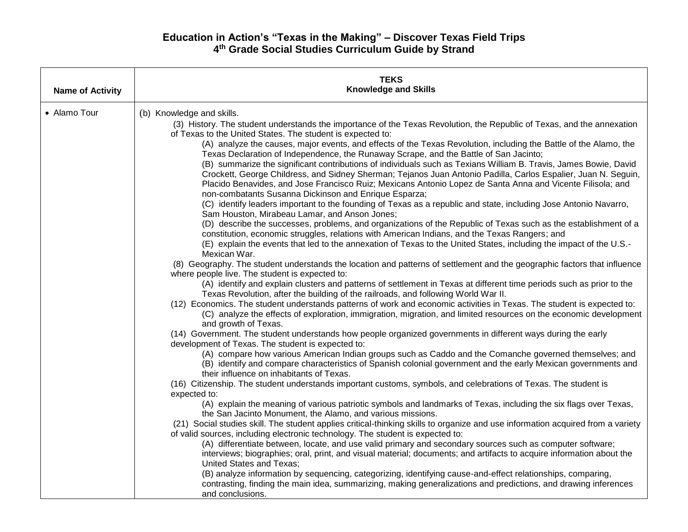| <b>Name of Activity</b> | <b>TEKS</b><br><b>Knowledge and Skills</b>                                                                                                                                                                                                                                                                                                                                                                                                                                                                                                                                                                                                                                                                                                                                                                                                                                                                                                                                                                                                                                                                                                                                                                                                                                                                                                                                                                                                                                                                                                                                                                                                                                                                                                                                                                                                                                                                                                                                                                                                                                                                                                                                                                                                                                                                                                                                                                                                                                                                                                                                                                                                                                                                                                                                                                                                                                                                                                                                                                                                                                                                                                                                                                                                                                                                                                                                                                                                                                                                                                                         |
|-------------------------|--------------------------------------------------------------------------------------------------------------------------------------------------------------------------------------------------------------------------------------------------------------------------------------------------------------------------------------------------------------------------------------------------------------------------------------------------------------------------------------------------------------------------------------------------------------------------------------------------------------------------------------------------------------------------------------------------------------------------------------------------------------------------------------------------------------------------------------------------------------------------------------------------------------------------------------------------------------------------------------------------------------------------------------------------------------------------------------------------------------------------------------------------------------------------------------------------------------------------------------------------------------------------------------------------------------------------------------------------------------------------------------------------------------------------------------------------------------------------------------------------------------------------------------------------------------------------------------------------------------------------------------------------------------------------------------------------------------------------------------------------------------------------------------------------------------------------------------------------------------------------------------------------------------------------------------------------------------------------------------------------------------------------------------------------------------------------------------------------------------------------------------------------------------------------------------------------------------------------------------------------------------------------------------------------------------------------------------------------------------------------------------------------------------------------------------------------------------------------------------------------------------------------------------------------------------------------------------------------------------------------------------------------------------------------------------------------------------------------------------------------------------------------------------------------------------------------------------------------------------------------------------------------------------------------------------------------------------------------------------------------------------------------------------------------------------------------------------------------------------------------------------------------------------------------------------------------------------------------------------------------------------------------------------------------------------------------------------------------------------------------------------------------------------------------------------------------------------------------------------------------------------------------------------------------------------------|
| • Alamo Tour            | (b) Knowledge and skills.<br>(3) History. The student understands the importance of the Texas Revolution, the Republic of Texas, and the annexation<br>of Texas to the United States. The student is expected to:<br>(A) analyze the causes, major events, and effects of the Texas Revolution, including the Battle of the Alamo, the<br>Texas Declaration of Independence, the Runaway Scrape, and the Battle of San Jacinto;<br>(B) summarize the significant contributions of individuals such as Texians William B. Travis, James Bowie, David<br>Crockett, George Childress, and Sidney Sherman; Tejanos Juan Antonio Padilla, Carlos Espalier, Juan N. Seguin,<br>Placido Benavides, and Jose Francisco Ruiz; Mexicans Antonio Lopez de Santa Anna and Vicente Filisola; and<br>non-combatants Susanna Dickinson and Enrique Esparza;<br>(C) identify leaders important to the founding of Texas as a republic and state, including Jose Antonio Navarro,<br>Sam Houston, Mirabeau Lamar, and Anson Jones;<br>(D) describe the successes, problems, and organizations of the Republic of Texas such as the establishment of a<br>constitution, economic struggles, relations with American Indians, and the Texas Rangers; and<br>(E) explain the events that led to the annexation of Texas to the United States, including the impact of the U.S.-<br>Mexican War.<br>(8) Geography. The student understands the location and patterns of settlement and the geographic factors that influence<br>where people live. The student is expected to:<br>(A) identify and explain clusters and patterns of settlement in Texas at different time periods such as prior to the<br>Texas Revolution, after the building of the railroads, and following World War II.<br>(12) Economics. The student understands patterns of work and economic activities in Texas. The student is expected to:<br>(C) analyze the effects of exploration, immigration, migration, and limited resources on the economic development<br>and growth of Texas.<br>(14) Government. The student understands how people organized governments in different ways during the early<br>development of Texas. The student is expected to:<br>(A) compare how various American Indian groups such as Caddo and the Comanche governed themselves; and<br>(B) identify and compare characteristics of Spanish colonial government and the early Mexican governments and<br>their influence on inhabitants of Texas.<br>(16) Citizenship. The student understands important customs, symbols, and celebrations of Texas. The student is<br>expected to:<br>(A) explain the meaning of various patriotic symbols and landmarks of Texas, including the six flags over Texas,<br>the San Jacinto Monument, the Alamo, and various missions.<br>(21) Social studies skill. The student applies critical-thinking skills to organize and use information acquired from a variety<br>of valid sources, including electronic technology. The student is expected to:<br>(A) differentiate between, locate, and use valid primary and secondary sources such as computer software;<br>interviews; biographies; oral, print, and visual material; documents; and artifacts to acquire information about the<br><b>United States and Texas;</b><br>(B) analyze information by sequencing, categorizing, identifying cause-and-effect relationships, comparing,<br>contrasting, finding the main idea, summarizing, making generalizations and predictions, and drawing inferences<br>and conclusions. |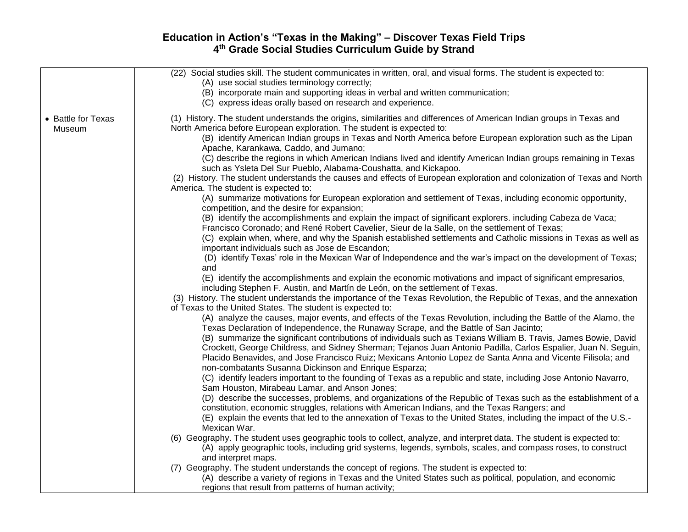|                              | (22) Social studies skill. The student communicates in written, oral, and visual forms. The student is expected to:<br>(A) use social studies terminology correctly;<br>(B) incorporate main and supporting ideas in verbal and written communication;<br>(C) express ideas orally based on research and experience.                                                                                                                                                                                                                                                                                                                                                                                                                                                                                                                                                                                                                                                                                                                                                                          |
|------------------------------|-----------------------------------------------------------------------------------------------------------------------------------------------------------------------------------------------------------------------------------------------------------------------------------------------------------------------------------------------------------------------------------------------------------------------------------------------------------------------------------------------------------------------------------------------------------------------------------------------------------------------------------------------------------------------------------------------------------------------------------------------------------------------------------------------------------------------------------------------------------------------------------------------------------------------------------------------------------------------------------------------------------------------------------------------------------------------------------------------|
| • Battle for Texas<br>Museum | (1) History. The student understands the origins, similarities and differences of American Indian groups in Texas and<br>North America before European exploration. The student is expected to:<br>(B) identify American Indian groups in Texas and North America before European exploration such as the Lipan<br>Apache, Karankawa, Caddo, and Jumano;<br>(C) describe the regions in which American Indians lived and identify American Indian groups remaining in Texas<br>such as Ysleta Del Sur Pueblo, Alabama-Coushatta, and Kickapoo.<br>(2) History. The student understands the causes and effects of European exploration and colonization of Texas and North<br>America. The student is expected to:<br>(A) summarize motivations for European exploration and settlement of Texas, including economic opportunity,<br>competition, and the desire for expansion;<br>(B) identify the accomplishments and explain the impact of significant explorers. including Cabeza de Vaca;<br>Francisco Coronado; and René Robert Cavelier, Sieur de la Salle, on the settlement of Texas; |
|                              | (C) explain when, where, and why the Spanish established settlements and Catholic missions in Texas as well as<br>important individuals such as Jose de Escandon;<br>(D) identify Texas' role in the Mexican War of Independence and the war's impact on the development of Texas;<br>and<br>(E) identify the accomplishments and explain the economic motivations and impact of significant empresarios,<br>including Stephen F. Austin, and Martín de León, on the settlement of Texas.<br>(3) History. The student understands the importance of the Texas Revolution, the Republic of Texas, and the annexation                                                                                                                                                                                                                                                                                                                                                                                                                                                                           |
|                              | of Texas to the United States. The student is expected to:<br>(A) analyze the causes, major events, and effects of the Texas Revolution, including the Battle of the Alamo, the<br>Texas Declaration of Independence, the Runaway Scrape, and the Battle of San Jacinto;<br>(B) summarize the significant contributions of individuals such as Texians William B. Travis, James Bowie, David<br>Crockett, George Childress, and Sidney Sherman; Tejanos Juan Antonio Padilla, Carlos Espalier, Juan N. Seguin,<br>Placido Benavides, and Jose Francisco Ruiz; Mexicans Antonio Lopez de Santa Anna and Vicente Filisola; and<br>non-combatants Susanna Dickinson and Enrique Esparza;                                                                                                                                                                                                                                                                                                                                                                                                         |
|                              | (C) identify leaders important to the founding of Texas as a republic and state, including Jose Antonio Navarro,<br>Sam Houston, Mirabeau Lamar, and Anson Jones;<br>(D) describe the successes, problems, and organizations of the Republic of Texas such as the establishment of a<br>constitution, economic struggles, relations with American Indians, and the Texas Rangers; and<br>(E) explain the events that led to the annexation of Texas to the United States, including the impact of the U.S.-<br>Mexican War.<br>(6) Geography. The student uses geographic tools to collect, analyze, and interpret data. The student is expected to:                                                                                                                                                                                                                                                                                                                                                                                                                                          |
|                              | (A) apply geographic tools, including grid systems, legends, symbols, scales, and compass roses, to construct<br>and interpret maps.<br>(7) Geography. The student understands the concept of regions. The student is expected to:<br>(A) describe a variety of regions in Texas and the United States such as political, population, and economic<br>regions that result from patterns of human activity;                                                                                                                                                                                                                                                                                                                                                                                                                                                                                                                                                                                                                                                                                    |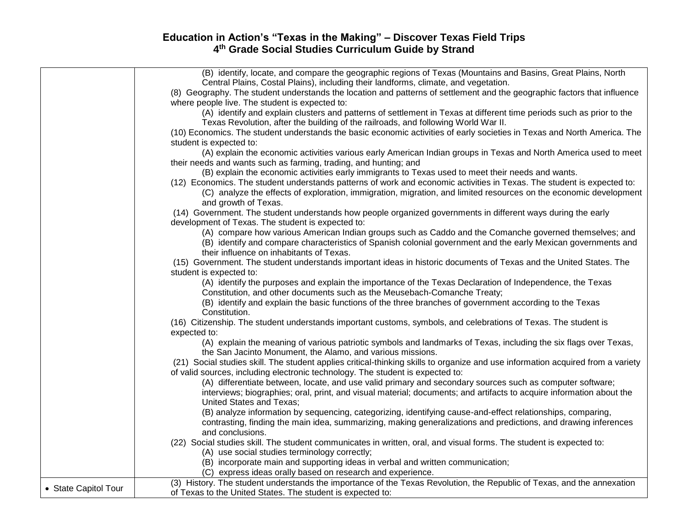|                      | (B) identify, locate, and compare the geographic regions of Texas (Mountains and Basins, Great Plains, North                                                                                                                                                        |
|----------------------|---------------------------------------------------------------------------------------------------------------------------------------------------------------------------------------------------------------------------------------------------------------------|
|                      | Central Plains, Costal Plains), including their landforms, climate, and vegetation.                                                                                                                                                                                 |
|                      | (8) Geography. The student understands the location and patterns of settlement and the geographic factors that influence<br>where people live. The student is expected to:                                                                                          |
|                      | (A) identify and explain clusters and patterns of settlement in Texas at different time periods such as prior to the                                                                                                                                                |
|                      | Texas Revolution, after the building of the railroads, and following World War II.                                                                                                                                                                                  |
|                      | (10) Economics. The student understands the basic economic activities of early societies in Texas and North America. The                                                                                                                                            |
|                      |                                                                                                                                                                                                                                                                     |
|                      | student is expected to:                                                                                                                                                                                                                                             |
|                      | (A) explain the economic activities various early American Indian groups in Texas and North America used to meet                                                                                                                                                    |
|                      | their needs and wants such as farming, trading, and hunting; and                                                                                                                                                                                                    |
|                      | (B) explain the economic activities early immigrants to Texas used to meet their needs and wants.                                                                                                                                                                   |
|                      | (12) Economics. The student understands patterns of work and economic activities in Texas. The student is expected to:<br>(C) analyze the effects of exploration, immigration, migration, and limited resources on the economic development<br>and growth of Texas. |
|                      | (14) Government. The student understands how people organized governments in different ways during the early                                                                                                                                                        |
|                      | development of Texas. The student is expected to:                                                                                                                                                                                                                   |
|                      | (A) compare how various American Indian groups such as Caddo and the Comanche governed themselves; and                                                                                                                                                              |
|                      | (B) identify and compare characteristics of Spanish colonial government and the early Mexican governments and<br>their influence on inhabitants of Texas.                                                                                                           |
|                      | (15) Government. The student understands important ideas in historic documents of Texas and the United States. The                                                                                                                                                  |
|                      | student is expected to:                                                                                                                                                                                                                                             |
|                      | (A) identify the purposes and explain the importance of the Texas Declaration of Independence, the Texas                                                                                                                                                            |
|                      | Constitution, and other documents such as the Meusebach-Comanche Treaty;                                                                                                                                                                                            |
|                      | (B) identify and explain the basic functions of the three branches of government according to the Texas                                                                                                                                                             |
|                      | Constitution.                                                                                                                                                                                                                                                       |
|                      | (16) Citizenship. The student understands important customs, symbols, and celebrations of Texas. The student is                                                                                                                                                     |
|                      | expected to:                                                                                                                                                                                                                                                        |
|                      | (A) explain the meaning of various patriotic symbols and landmarks of Texas, including the six flags over Texas,                                                                                                                                                    |
|                      | the San Jacinto Monument, the Alamo, and various missions.                                                                                                                                                                                                          |
|                      | (21) Social studies skill. The student applies critical-thinking skills to organize and use information acquired from a variety                                                                                                                                     |
|                      | of valid sources, including electronic technology. The student is expected to:                                                                                                                                                                                      |
|                      | (A) differentiate between, locate, and use valid primary and secondary sources such as computer software;                                                                                                                                                           |
|                      | interviews; biographies; oral, print, and visual material; documents; and artifacts to acquire information about the                                                                                                                                                |
|                      | United States and Texas;                                                                                                                                                                                                                                            |
|                      | (B) analyze information by sequencing, categorizing, identifying cause-and-effect relationships, comparing,                                                                                                                                                         |
|                      | contrasting, finding the main idea, summarizing, making generalizations and predictions, and drawing inferences                                                                                                                                                     |
|                      | and conclusions.                                                                                                                                                                                                                                                    |
|                      | (22) Social studies skill. The student communicates in written, oral, and visual forms. The student is expected to:                                                                                                                                                 |
|                      | (A) use social studies terminology correctly;                                                                                                                                                                                                                       |
|                      | (B) incorporate main and supporting ideas in verbal and written communication;                                                                                                                                                                                      |
|                      | (C) express ideas orally based on research and experience.                                                                                                                                                                                                          |
|                      | (3) History. The student understands the importance of the Texas Revolution, the Republic of Texas, and the annexation                                                                                                                                              |
| • State Capitol Tour | of Texas to the United States. The student is expected to:                                                                                                                                                                                                          |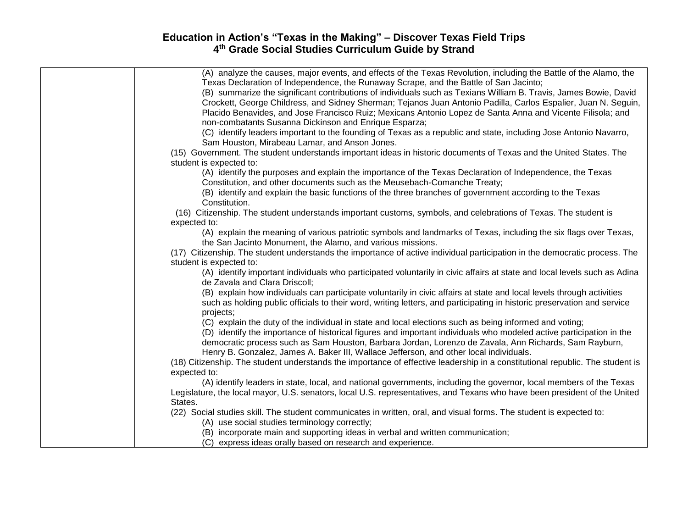| (A) analyze the causes, major events, and effects of the Texas Revolution, including the Battle of the Alamo, the             |
|-------------------------------------------------------------------------------------------------------------------------------|
| Texas Declaration of Independence, the Runaway Scrape, and the Battle of San Jacinto;                                         |
| (B) summarize the significant contributions of individuals such as Texians William B. Travis, James Bowie, David              |
| Crockett, George Childress, and Sidney Sherman; Tejanos Juan Antonio Padilla, Carlos Espalier, Juan N. Seguin,                |
| Placido Benavides, and Jose Francisco Ruiz; Mexicans Antonio Lopez de Santa Anna and Vicente Filisola; and                    |
| non-combatants Susanna Dickinson and Enrique Esparza;                                                                         |
| (C) identify leaders important to the founding of Texas as a republic and state, including Jose Antonio Navarro,              |
| Sam Houston, Mirabeau Lamar, and Anson Jones.                                                                                 |
| (15) Government. The student understands important ideas in historic documents of Texas and the United States. The            |
| student is expected to:                                                                                                       |
| (A) identify the purposes and explain the importance of the Texas Declaration of Independence, the Texas                      |
| Constitution, and other documents such as the Meusebach-Comanche Treaty;                                                      |
| (B) identify and explain the basic functions of the three branches of government according to the Texas                       |
| Constitution.                                                                                                                 |
| (16) Citizenship. The student understands important customs, symbols, and celebrations of Texas. The student is               |
| expected to:                                                                                                                  |
| (A) explain the meaning of various patriotic symbols and landmarks of Texas, including the six flags over Texas,              |
| the San Jacinto Monument, the Alamo, and various missions.                                                                    |
| (17) Citizenship. The student understands the importance of active individual participation in the democratic process. The    |
| student is expected to:                                                                                                       |
| (A) identify important individuals who participated voluntarily in civic affairs at state and local levels such as Adina      |
| de Zavala and Clara Driscoll;                                                                                                 |
| (B) explain how individuals can participate voluntarily in civic affairs at state and local levels through activities         |
| such as holding public officials to their word, writing letters, and participating in historic preservation and service       |
| projects;                                                                                                                     |
| (C) explain the duty of the individual in state and local elections such as being informed and voting;                        |
| (D) identify the importance of historical figures and important individuals who modeled active participation in the           |
| democratic process such as Sam Houston, Barbara Jordan, Lorenzo de Zavala, Ann Richards, Sam Rayburn,                         |
| Henry B. Gonzalez, James A. Baker III, Wallace Jefferson, and other local individuals.                                        |
| (18) Citizenship. The student understands the importance of effective leadership in a constitutional republic. The student is |
| expected to:                                                                                                                  |
| (A) identify leaders in state, local, and national governments, including the governor, local members of the Texas            |
| Legislature, the local mayor, U.S. senators, local U.S. representatives, and Texans who have been president of the United     |
| States.                                                                                                                       |
| (22) Social studies skill. The student communicates in written, oral, and visual forms. The student is expected to:           |
| (A) use social studies terminology correctly;                                                                                 |
| (B) incorporate main and supporting ideas in verbal and written communication;                                                |
| (C) express ideas orally based on research and experience.                                                                    |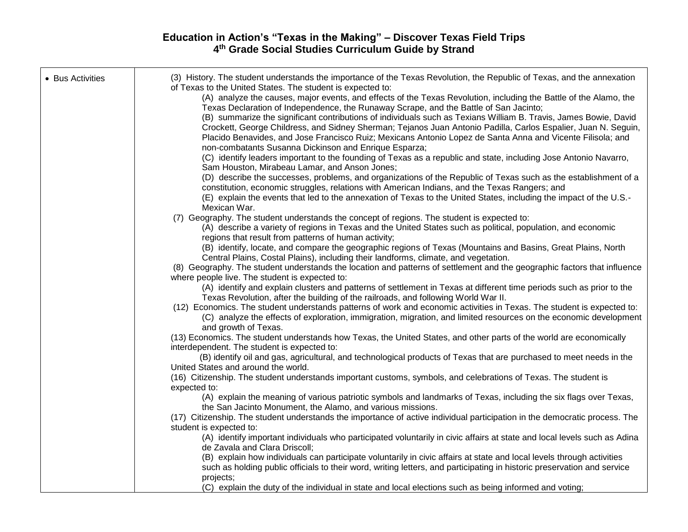| • Bus Activities | (3) History. The student understands the importance of the Texas Revolution, the Republic of Texas, and the annexation<br>of Texas to the United States. The student is expected to:<br>(A) analyze the causes, major events, and effects of the Texas Revolution, including the Battle of the Alamo, the<br>Texas Declaration of Independence, the Runaway Scrape, and the Battle of San Jacinto;<br>(B) summarize the significant contributions of individuals such as Texians William B. Travis, James Bowie, David<br>Crockett, George Childress, and Sidney Sherman; Tejanos Juan Antonio Padilla, Carlos Espalier, Juan N. Seguin,<br>Placido Benavides, and Jose Francisco Ruiz; Mexicans Antonio Lopez de Santa Anna and Vicente Filisola; and<br>non-combatants Susanna Dickinson and Enrique Esparza;<br>(C) identify leaders important to the founding of Texas as a republic and state, including Jose Antonio Navarro,<br>Sam Houston, Mirabeau Lamar, and Anson Jones;<br>(D) describe the successes, problems, and organizations of the Republic of Texas such as the establishment of a<br>constitution, economic struggles, relations with American Indians, and the Texas Rangers; and<br>(E) explain the events that led to the annexation of Texas to the United States, including the impact of the U.S.-<br>Mexican War.<br>(7) Geography. The student understands the concept of regions. The student is expected to:<br>(A) describe a variety of regions in Texas and the United States such as political, population, and economic<br>regions that result from patterns of human activity;<br>(B) identify, locate, and compare the geographic regions of Texas (Mountains and Basins, Great Plains, North<br>Central Plains, Costal Plains), including their landforms, climate, and vegetation. |
|------------------|-----------------------------------------------------------------------------------------------------------------------------------------------------------------------------------------------------------------------------------------------------------------------------------------------------------------------------------------------------------------------------------------------------------------------------------------------------------------------------------------------------------------------------------------------------------------------------------------------------------------------------------------------------------------------------------------------------------------------------------------------------------------------------------------------------------------------------------------------------------------------------------------------------------------------------------------------------------------------------------------------------------------------------------------------------------------------------------------------------------------------------------------------------------------------------------------------------------------------------------------------------------------------------------------------------------------------------------------------------------------------------------------------------------------------------------------------------------------------------------------------------------------------------------------------------------------------------------------------------------------------------------------------------------------------------------------------------------------------------------------------------------------------------------------------------------------------------|
|                  | (8) Geography. The student understands the location and patterns of settlement and the geographic factors that influence                                                                                                                                                                                                                                                                                                                                                                                                                                                                                                                                                                                                                                                                                                                                                                                                                                                                                                                                                                                                                                                                                                                                                                                                                                                                                                                                                                                                                                                                                                                                                                                                                                                                                                    |
|                  | where people live. The student is expected to:<br>(A) identify and explain clusters and patterns of settlement in Texas at different time periods such as prior to the<br>Texas Revolution, after the building of the railroads, and following World War II.                                                                                                                                                                                                                                                                                                                                                                                                                                                                                                                                                                                                                                                                                                                                                                                                                                                                                                                                                                                                                                                                                                                                                                                                                                                                                                                                                                                                                                                                                                                                                                |
|                  | (12) Economics. The student understands patterns of work and economic activities in Texas. The student is expected to:<br>(C) analyze the effects of exploration, immigration, migration, and limited resources on the economic development<br>and growth of Texas.                                                                                                                                                                                                                                                                                                                                                                                                                                                                                                                                                                                                                                                                                                                                                                                                                                                                                                                                                                                                                                                                                                                                                                                                                                                                                                                                                                                                                                                                                                                                                         |
|                  | (13) Economics. The student understands how Texas, the United States, and other parts of the world are economically<br>interdependent. The student is expected to:                                                                                                                                                                                                                                                                                                                                                                                                                                                                                                                                                                                                                                                                                                                                                                                                                                                                                                                                                                                                                                                                                                                                                                                                                                                                                                                                                                                                                                                                                                                                                                                                                                                          |
|                  | (B) identify oil and gas, agricultural, and technological products of Texas that are purchased to meet needs in the<br>United States and around the world.                                                                                                                                                                                                                                                                                                                                                                                                                                                                                                                                                                                                                                                                                                                                                                                                                                                                                                                                                                                                                                                                                                                                                                                                                                                                                                                                                                                                                                                                                                                                                                                                                                                                  |
|                  | (16) Citizenship. The student understands important customs, symbols, and celebrations of Texas. The student is<br>expected to:                                                                                                                                                                                                                                                                                                                                                                                                                                                                                                                                                                                                                                                                                                                                                                                                                                                                                                                                                                                                                                                                                                                                                                                                                                                                                                                                                                                                                                                                                                                                                                                                                                                                                             |
|                  | (A) explain the meaning of various patriotic symbols and landmarks of Texas, including the six flags over Texas,<br>the San Jacinto Monument, the Alamo, and various missions.                                                                                                                                                                                                                                                                                                                                                                                                                                                                                                                                                                                                                                                                                                                                                                                                                                                                                                                                                                                                                                                                                                                                                                                                                                                                                                                                                                                                                                                                                                                                                                                                                                              |
|                  | (17) Citizenship. The student understands the importance of active individual participation in the democratic process. The<br>student is expected to:                                                                                                                                                                                                                                                                                                                                                                                                                                                                                                                                                                                                                                                                                                                                                                                                                                                                                                                                                                                                                                                                                                                                                                                                                                                                                                                                                                                                                                                                                                                                                                                                                                                                       |
|                  | (A) identify important individuals who participated voluntarily in civic affairs at state and local levels such as Adina<br>de Zavala and Clara Driscoll;                                                                                                                                                                                                                                                                                                                                                                                                                                                                                                                                                                                                                                                                                                                                                                                                                                                                                                                                                                                                                                                                                                                                                                                                                                                                                                                                                                                                                                                                                                                                                                                                                                                                   |
|                  | (B) explain how individuals can participate voluntarily in civic affairs at state and local levels through activities<br>such as holding public officials to their word, writing letters, and participating in historic preservation and service                                                                                                                                                                                                                                                                                                                                                                                                                                                                                                                                                                                                                                                                                                                                                                                                                                                                                                                                                                                                                                                                                                                                                                                                                                                                                                                                                                                                                                                                                                                                                                            |
|                  | projects;<br>(C) explain the duty of the individual in state and local elections such as being informed and voting;                                                                                                                                                                                                                                                                                                                                                                                                                                                                                                                                                                                                                                                                                                                                                                                                                                                                                                                                                                                                                                                                                                                                                                                                                                                                                                                                                                                                                                                                                                                                                                                                                                                                                                         |